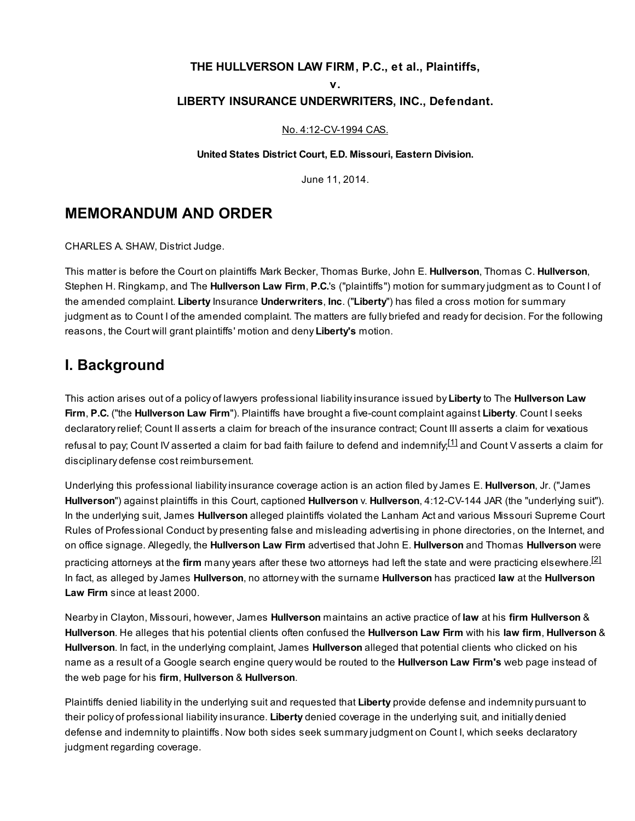### THE HULLVERSON LAW FIRM, P.C., et al., Plaintiffs,

v.

### LIBERTY INSURANCE UNDERWRITERS, INC., Defendant.

#### No. [4:12-CV-1994](http://scholar.google.com/scholar?scidkt=4215429947518457342&as_sdt=2&hl=en) CAS.

#### United States District Court, E.D. Missouri, Eastern Division.

<span id="page-0-1"></span><span id="page-0-0"></span>June 11, 2014.

## MEMORANDUM AND ORDER

CHARLES A. SHAW, District Judge.

This matter is before the Court on plaintiffs Mark Becker, Thomas Burke, John E. Hullverson, Thomas C. Hullverson, Stephen H. Ringkamp, and The **Hullverson Law Firm, P.C.'s** ("plaintiffs") motion for summary judgment as to Count I of the amended complaint. Liberty Insurance Underwriters, Inc. ("Liberty") has filed a cross motion for summary judgment as to Count I of the amended complaint. The matters are fully briefed and ready for decision. For the following reasons, the Court will grant plaintiffs' motion and deny Liberty's motion.

## I. Background

This action arises out of a policy of lawyers professional liability insurance issued by Liberty to The Hullverson Law Firm, P.C. ("the Hullverson Law Firm"). Plaintiffs have brought a five-count complaint against Liberty. Count I seeks declaratory relief; Count II asserts a claim for breach of the insurance contract; Count III asserts a claim for vexatious refusal to pay; Count IV asserted a claim for bad faith failure to defend and indemnify;<sup>[\[1\]](#page-9-0)</sup> and Count V asserts a claim for disciplinary defense cost reimbursement.

Underlying this professional liability insurance coverage action is an action filed by James E. Hullverson, Jr. ("James Hullverson") against plaintiffs in this Court, captioned Hullverson v. Hullverson, 4:12-CV-144 JAR (the "underlying suit"). In the underlying suit, James Hullverson alleged plaintiffs violated the Lanham Act and various Missouri Supreme Court Rules of Professional Conduct by presenting false and misleading advertising in phone directories, on the Internet, and on office signage. Allegedly, the Hullverson Law Firm advertised that John E. Hullverson and Thomas Hullverson were practicing attorneys at the **firm** many years after these two attorneys had left the state and were practicing elsewhere.<sup>[\[2\]](#page-9-1)</sup> In fact, as alleged by James Hullverson, no attorney with the surname Hullverson has practiced law at the Hullverson Law Firm since at least 2000.

Nearby in Clayton, Missouri, however, James Hullverson maintains an active practice of law at his firm Hullverson & Hullverson. He alleges that his potential clients often confused the Hullverson Law Firm with his law firm, Hullverson & Hullverson. In fact, in the underlying complaint, James Hullverson alleged that potential clients who clicked on his name as a result of a Google search engine query would be routed to the **Hullverson Law Firm's** web page instead of the web page for his firm, Hullverson & Hullverson.

Plaintiffs denied liability in the underlying suit and requested that Liberty provide defense and indemnity pursuant to their policy of professional liability insurance. Liberty denied coverage in the underlying suit, and initially denied defense and indemnity to plaintiffs. Now both sides seek summary judgment on Count I, which seeks declaratory judgment regarding coverage.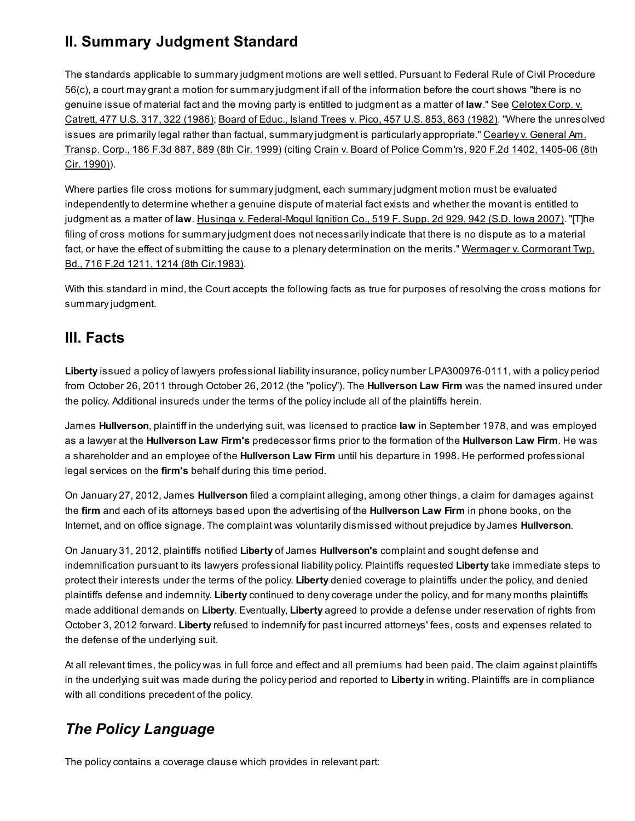# II. Summary Judgment Standard

The standards applicable to summary judgment motions are well settled. Pursuant to Federal Rule of Civil Procedure 56(c), a court may grant a motion for summary judgment if all of the information before the court shows "there is no genuine issue of material fact and the moving party is entitled to [judgment](http://scholar.google.com/scholar_case?case=774572446857633137&q=Hullverson+Law+Firm,+P.C.+v.+Liberty+Ins.+Underwriters,+Inc.&hl=en&as_sdt=20006&as_vis=1) as a matter of law." See Celotex Corp. v. Catrett, 477 U.S. 317, 322 (1986); Board of Educ., Island Trees v. Pico, 457 U.S. 853, 863 [\(1982\).](http://scholar.google.com/scholar_case?case=11432514393725128521&q=Hullverson+Law+Firm,+P.C.+v.+Liberty+Ins.+Underwriters,+Inc.&hl=en&as_sdt=20006&as_vis=1) "Where the unresolved issues are primarily legal rather than factual, summary judgment is particularly [appropriate."](http://scholar.google.com/scholar_case?case=10213559453511049868&q=Hullverson+Law+Firm,+P.C.+v.+Liberty+Ins.+Underwriters,+Inc.&hl=en&as_sdt=20006&as_vis=1) Cearley v. General Am. Transp. Corp., 186 F.3d 887, 889 (8th Cir. 1999) (citing Crain v. Board of Police [Comm'rs,](http://scholar.google.com/scholar_case?case=17482169486611763796&q=Hullverson+Law+Firm,+P.C.+v.+Liberty+Ins.+Underwriters,+Inc.&hl=en&as_sdt=20006&as_vis=1) 920 F.2d 1402, 1405-06 (8th Cir. 1990)).

Where parties file cross motions for summary judgment, each summary judgment motion must be evaluated independently to determine whether a genuine dispute of material fact exists and whether the movant is entitled to judgment as a matter of law. Husinga v. [Federal-Mogul](http://scholar.google.com/scholar_case?case=15074002459437782493&q=Hullverson+Law+Firm,+P.C.+v.+Liberty+Ins.+Underwriters,+Inc.&hl=en&as_sdt=20006&as_vis=1) Ignition Co., 519 F. Supp. 2d 929, 942 (S.D. Iowa 2007). "[The filing of cross motions for summary judgment does not necessarily indicate that there is no dispute as to a material fact, or have the effect of submitting the cause to a plenary [determination](http://scholar.google.com/scholar_case?case=144722128840834469&q=Hullverson+Law+Firm,+P.C.+v.+Liberty+Ins.+Underwriters,+Inc.&hl=en&as_sdt=20006&as_vis=1) on the merits." Wermager v. Cormorant Twp. Bd., 716 F.2d 1211, 1214 (8th Cir.1983).

With this standard in mind, the Court accepts the following facts as true for purposes of resolving the cross motions for summary judgment.

# III. Facts

Liberty issued a policy of lawyers professional liability insurance, policy number LPA300976-0111, with a policy period from October 26, 2011 through October 26, 2012 (the "policy"). The **Hullverson Law Firm** was the named insured under the policy. Additional insureds under the terms of the policy include all of the plaintiffs herein.

James Hullverson, plaintiff in the underlying suit, was licensed to practice law in September 1978, and was employed as a lawyer at the Hullverson Law Firm's predecessor firms prior to the formation of the Hullverson Law Firm. He was a shareholder and an employee of the Hullverson Law Firm until his departure in 1998. He performed professional legal services on the firm's behalf during this time period.

On January 27, 2012, James Hullverson filed a complaint alleging, among other things, a claim for damages against the firm and each of its attorneys based upon the advertising of the **Hullverson Law Firm** in phone books, on the Internet, and on office signage. The complaint was voluntarily dismissed without prejudice by James Hullverson.

On January 31, 2012, plaintiffs notified Liberty of James Hullverson's complaint and sought defense and indemnification pursuant to its lawyers professional liability policy. Plaintiffs requested Liberty take immediate steps to protect their interests under the terms of the policy. Liberty denied coverage to plaintiffs under the policy, and denied plaintiffs defense and indemnity. Liberty continued to deny coverage under the policy, and for many months plaintiffs made additional demands on Liberty. Eventually, Liberty agreed to provide a defense under reservation of rights from October 3, 2012 forward. Liberty refused to indemnify for past incurred attorneys' fees, costs and expenses related to the defense of the underlying suit.

At all relevant times, the policy was in full force and effect and all premiums had been paid. The claim against plaintiffs in the underlying suit was made during the policy period and reported to Liberty in writing. Plaintiffs are in compliance with all conditions precedent of the policy.

# The Policy Language

The policy contains a coverage clause which provides in relevant part: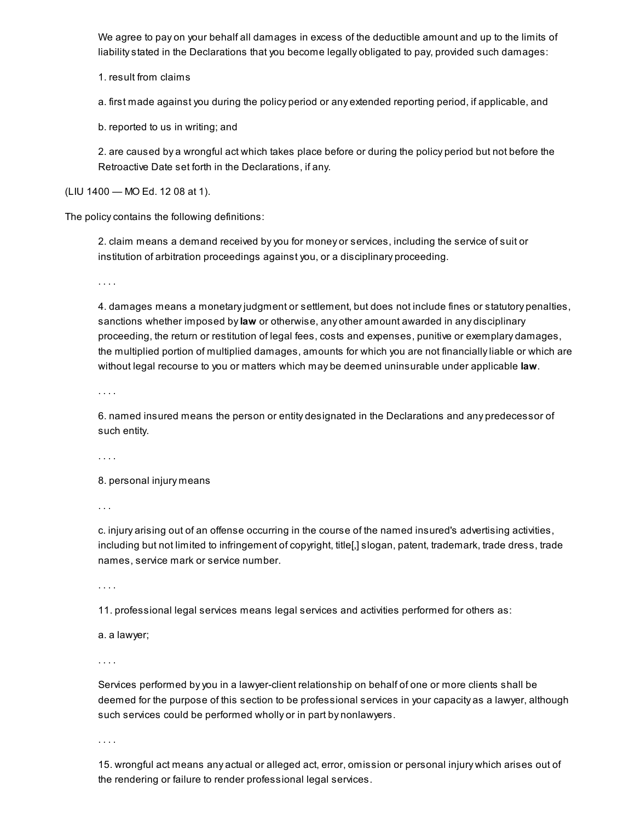We agree to pay on your behalf all damages in excess of the deductible amount and up to the limits of liability stated in the Declarations that you become legally obligated to pay, provided such damages:

1. result from claims

a. first made against you during the policy period or any extended reporting period, if applicable, and

b. reported to us in writing; and

2. are caused by a wrongful act which takes place before or during the policy period but not before the Retroactive Date set forth in the Declarations, if any.

(LIU 1400 — MO Ed. 12 08 at 1).

The policy contains the following definitions:

2. claim means a demand received by you for money or services, including the service of suit or institution of arbitration proceedings against you, or a disciplinary proceeding.

. . . .

4. damages means a monetary judgment or settlement, but does not include fines or statutory penalties, sanctions whether imposed by law or otherwise, any other amount awarded in any disciplinary proceeding, the return or restitution of legal fees, costs and expenses, punitive or exemplary damages, the multiplied portion of multiplied damages, amounts for which you are not financially liable or which are without legal recourse to you or matters which may be deemed uninsurable under applicable law.

. . . .

6. named insured means the person or entity designated in the Declarations and any predecessor of such entity.

. . . .

8. personal injury means

. . .

c. injury arising out of an offense occurring in the course of the named insured's advertising activities, including but not limited to infringement of copyright, title[,] slogan, patent, trademark, trade dress, trade names, service mark or service number.

. . . .

11. professional legal services means legal services and activities performed for others as:

a. a lawyer;

. . . .

Services performed by you in a lawyer-client relationship on behalf of one or more clients shall be deemed for the purpose of this section to be professional services in your capacity as a lawyer, although such services could be performed wholly or in part by nonlawyers.

. . . .

15. wrongful act means any actual or alleged act, error, omission or personal injury which arises out of the rendering or failure to render professional legal services.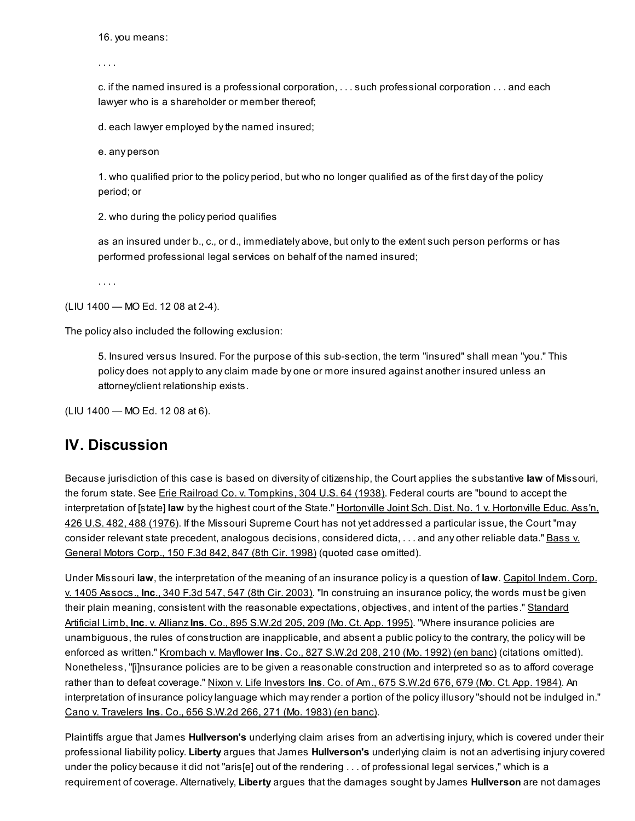16. you means:

. . . .

c. if the named insured is a professional corporation, . . . such professional corporation . . . and each lawyer who is a shareholder or member thereof;

d. each lawyer employed by the named insured;

e. any person

1. who qualified prior to the policy period, but who no longer qualified as of the first day of the policy period; or

2. who during the policy period qualifies

as an insured under b., c., or d., immediately above, but only to the extent such person performs or has performed professional legal services on behalf of the named insured;

(LIU 1400 — MO Ed. 12 08 at 2-4).

The policy also included the following exclusion:

5. Insured versus Insured. For the purpose of this sub-section, the term "insured" shall mean "you." This policy does not apply to any claim made by one or more insured against another insured unless an attorney/client relationship exists.

(LIU 1400 — MO Ed. 12 08 at 6).

## IV. Discussion

Because jurisdiction of this case is based on diversity of citizenship, the Court applies the substantive law of Missouri, the forum state. See Erie Railroad Co. v. [Tompkins,](http://scholar.google.com/scholar_case?case=4671607337309792720&q=Hullverson+Law+Firm,+P.C.+v.+Liberty+Ins.+Underwriters,+Inc.&hl=en&as_sdt=20006&as_vis=1) 304 U.S. 64 (1938). Federal courts are "bound to accept the [interpretation](http://scholar.google.com/scholar_case?case=17315290338251118513&q=Hullverson+Law+Firm,+P.C.+v.+Liberty+Ins.+Underwriters,+Inc.&hl=en&as_sdt=20006&as_vis=1) of [state] law by the highest court of the State." Hortonville Joint Sch. Dist. No. 1 v. Hortonville Educ. Ass'n, 426 U.S. 482, 488 (1976). If the Missouri Supreme Court has not yet addressed a particular issue, the Court "may consider relevant state precedent, analogous decisions, [considered](http://scholar.google.com/scholar_case?case=1715895894824039538&q=Hullverson+Law+Firm,+P.C.+v.+Liberty+Ins.+Underwriters,+Inc.&hl=en&as_sdt=20006&as_vis=1) dicta, ... and any other reliable data." Bass v. General Motors Corp., 150 F.3d 842, 847 (8th Cir. 1998) (quoted case omitted).

Under Missouri law, the [interpretation](http://scholar.google.com/scholar_case?case=7346225123274058886&q=Hullverson+Law+Firm,+P.C.+v.+Liberty+Ins.+Underwriters,+Inc.&hl=en&as_sdt=20006&as_vis=1) of the meaning of an insurance policy is a question of law. Capitol Indem. Corp. v. 1405 Assocs., Inc., 340 F.3d 547, 547 (8th Cir. 2003). "In construing an insurance policy, the words must be given their plain meaning, consistent with the reasonable [expectations,](http://scholar.google.com/scholar_case?case=1193919244422959527&q=Hullverson+Law+Firm,+P.C.+v.+Liberty+Ins.+Underwriters,+Inc.&hl=en&as_sdt=20006&as_vis=1) objectives, and intent of the parties." Standard Artificial Limb, Inc. v. Allianz Ins. Co., 895 S.W.2d 205, 209 (Mo. Ct. App. 1995). "Where insurance policies are unambiguous, the rules of construction are inapplicable, and absent a public policy to the contrary, the policy will be enforced as written." [Krombach](http://scholar.google.com/scholar_case?case=10337028966368765582&q=Hullverson+Law+Firm,+P.C.+v.+Liberty+Ins.+Underwriters,+Inc.&hl=en&as_sdt=20006&as_vis=1) v. Mayflower Ins. Co., 827 S.W.2d 208, 210 (Mo. 1992) (en banc) (citations omitted). Nonetheless, "[i]nsurance policies are to be given a reasonable construction and interpreted so as to afford coverage rather than to defeat coverage." Nixon v. Life [Investors](http://scholar.google.com/scholar_case?case=18305988013035500155&q=Hullverson+Law+Firm,+P.C.+v.+Liberty+Ins.+Underwriters,+Inc.&hl=en&as_sdt=20006&as_vis=1) Ins. Co. of Am., 675 S.W.2d 676, 679 (Mo. Ct. App. 1984). An interpretation of insurance policy language which may render a portion of the policy illusory "should not be indulged in." Cano v. [Travelers](http://scholar.google.com/scholar_case?case=9885107958228747143&q=Hullverson+Law+Firm,+P.C.+v.+Liberty+Ins.+Underwriters,+Inc.&hl=en&as_sdt=20006&as_vis=1) Ins. Co., 656 S.W.2d 266, 271 (Mo. 1983) (en banc).

Plaintiffs argue that James **Hullverson's** underlying claim arises from an advertising injury, which is covered under their professional liability policy. Liberty argues that James Hullverson's underlying claim is not an advertising injury covered under the policy because it did not "aris[e] out of the rendering . . . of professional legal services," which is a requirement of coverage. Alternatively, Liberty argues that the damages sought by James Hullverson are not damages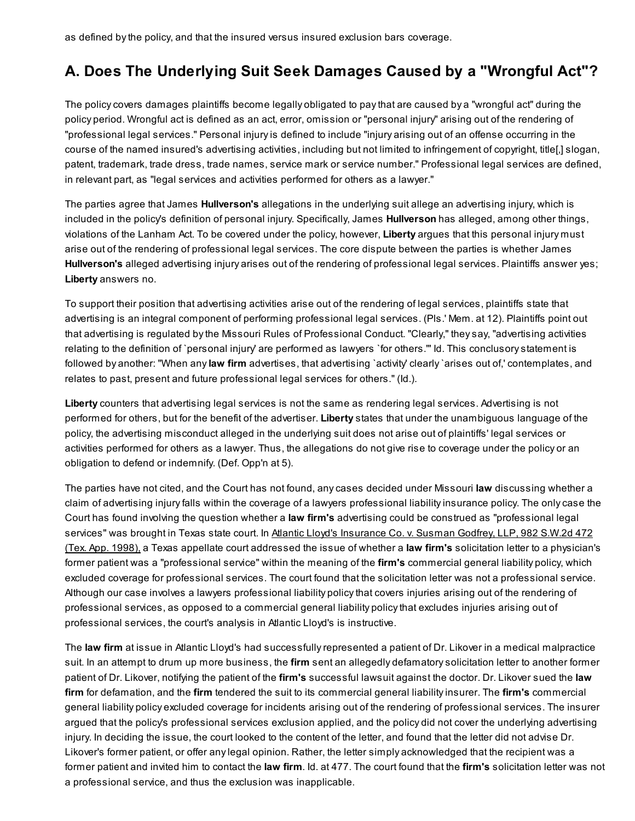as defined by the policy, and that the insured versus insured exclusion bars coverage.

## A. Does The Underlying Suit Seek Damages Caused by a "Wrongful Act"?

The policy covers damages plaintiffs become legally obligated to pay that are caused by a "wrongful act" during the policy period. Wrongful act is defined as an act, error, omission or "personal injury" arising out of the rendering of "professional legal services." Personal injury is defined to include "injury arising out of an offense occurring in the course of the named insured's advertising activities, including but not limited to infringement of copyright, title[,] slogan, patent, trademark, trade dress, trade names, service mark or service number." Professional legal services are defined, in relevant part, as "legal services and activities performed for others as a lawyer."

The parties agree that James Hullverson's allegations in the underlying suit allege an advertising injury, which is included in the policy's definition of personal injury. Specifically, James Hullverson has alleged, among other things, violations of the Lanham Act. To be covered under the policy, however, Liberty argues that this personal injury must arise out of the rendering of professional legal services. The core dispute between the parties is whether James Hullverson's alleged advertising injury arises out of the rendering of professional legal services. Plaintiffs answer yes; Liberty answers no.

To support their position that advertising activities arise out of the rendering of legal services, plaintiffs state that advertising is an integral component of performing professional legal services. (Pls.' Mem. at 12). Plaintiffs point out that advertising is regulated by the Missouri Rules of Professional Conduct. "Clearly," they say, "advertising activities relating to the definition of `personal injury' are performed as lawyers `for others.'" Id. This conclusory statement is followed by another: "When any law firm advertises, that advertising `activity' clearly `arises out of,' contemplates, and relates to past, present and future professional legal services for others." (Id.).

Liberty counters that advertising legal services is not the same as rendering legal services. Advertising is not performed for others, but for the benefit of the advertiser. Liberty states that under the unambiguous language of the policy, the advertising misconduct alleged in the underlying suit does not arise out of plaintiffs' legal services or activities performed for others as a lawyer. Thus, the allegations do not give rise to coverage under the policy or an obligation to defend or indemnify. (Def. Opp'n at 5).

The parties have not cited, and the Court has not found, any cases decided under Missouri law discussing whether a claim of advertising injury falls within the coverage of a lawyers professional liability insurance policy. The only case the Court has found involving the question whether a law firm's advertising could be construed as "professional legal services" was brought in Texas state court. In Atlantic Lloyd's Insurance Co. v. Susman Godfrey, LLP, 982 S.W.2d 472 (Tex. App. 1998), a Texas appellate court [addressed](http://scholar.google.com/scholar_case?case=14628761411477825958&q=Hullverson+Law+Firm,+P.C.+v.+Liberty+Ins.+Underwriters,+Inc.&hl=en&as_sdt=20006&as_vis=1) the issue of whether a law firm's solicitation letter to a physician's former patient was a "professional service" within the meaning of the firm's commercial general liability policy, which excluded coverage for professional services. The court found that the solicitation letter was not a professional service. Although our case involves a lawyers professional liability policy that covers injuries arising out of the rendering of professional services, as opposed to a commercial general liability policy that excludes injuries arising out of professional services, the court's analysis in Atlantic Lloyd's is instructive.

The law firm at issue in Atlantic Lloyd's had successfully represented a patient of Dr. Likover in a medical malpractice suit. In an attempt to drum up more business, the firm sent an allegedly defamatory solicitation letter to another former patient of Dr. Likover, notifying the patient of the firm's successful lawsuit against the doctor. Dr. Likover sued the law firm for defamation, and the firm tendered the suit to its commercial general liability insurer. The firm's commercial general liability policy excluded coverage for incidents arising out of the rendering of professional services. The insurer argued that the policy's professional services exclusion applied, and the policy did not cover the underlying advertising injury. In deciding the issue, the court looked to the content of the letter, and found that the letter did not advise Dr. Likover's former patient, or offer any legal opinion. Rather, the letter simply acknowledged that the recipient was a former patient and invited him to contact the law firm. Id. at 477. The court found that the firm's solicitation letter was not a professional service, and thus the exclusion was inapplicable.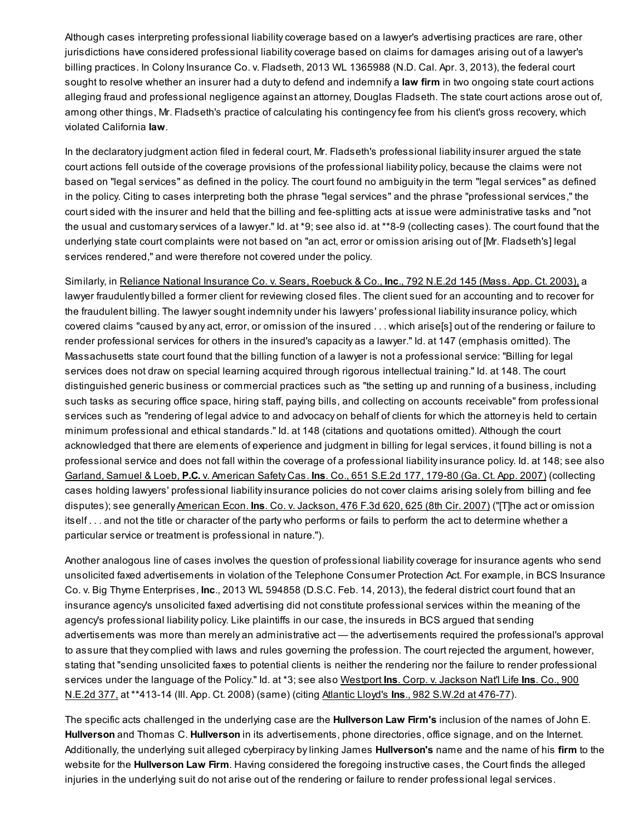Although cases interpreting professional liability coverage based on a lawyer's advertising practices are rare, other jurisdictions have considered professional liability coverage based on claims for damages arising out of a lawyer's billing practices. In Colony Insurance Co. v. Fladseth, 2013 WL 1365988 (N.D. Cal. Apr. 3, 2013), the federal court sought to resolve whether an insurer had a duty to defend and indemnify a law firm in two ongoing state court actions alleging fraud and professional negligence against an attorney, Douglas Fladseth. The state court actions arose out of, among other things, Mr. Fladseth's practice of calculating his contingency fee from his client's gross recovery, which violated California law.

In the declaratory judgment action filed in federal court, Mr. Fladseth's professional liability insurer argued the state court actions fell outside of the coverage provisions of the professional liability policy, because the claims were not based on "legal services" as defined in the policy. The court found no ambiguity in the term "legal services" as defined in the policy. Citing to cases interpreting both the phrase "legal services" and the phrase "professional services," the court sided with the insurer and held that the billing and fee-splitting acts at issue were administrative tasks and "not the usual and customary services of a lawyer." Id. at \*9; see also id. at \*\*8-9 (collecting cases). The court found that the underlying state court complaints were not based on "an act, error or omission arising out of [Mr. Fladseth's] legal services rendered," and were therefore not covered under the policy.

Similarly, in Reliance National [Insurance](http://scholar.google.com/scholar_case?case=4930941476805510850&q=Hullverson+Law+Firm,+P.C.+v.+Liberty+Ins.+Underwriters,+Inc.&hl=en&as_sdt=20006&as_vis=1) Co. v. Sears, Roebuck & Co., Inc., 792 N.E.2d 145 (Mass. App. Ct. 2003), a lawyer fraudulently billed a former client for reviewing closed files. The client sued for an accounting and to recover for the fraudulent billing. The lawyer sought indemnity under his lawyers' professional liability insurance policy, which covered claims "caused by any act, error, or omission of the insured . . . which arise[s] out of the rendering or failure to render professional services for others in the insured's capacity as a lawyer." Id. at 147 (emphasis omitted). The Massachusetts state court found that the billing function of a lawyer is not a professional service: "Billing for legal services does not draw on special learning acquired through rigorous intellectual training." Id. at 148. The court distinguished generic business or commercial practices such as "the setting up and running of a business, including such tasks as securing office space, hiring staff, paying bills, and collecting on accounts receivable" from professional services such as "rendering of legal advice to and advocacy on behalf of clients for which the attorney is held to certain minimum professional and ethical standards." Id. at 148 (citations and quotations omitted). Although the court acknowledged that there are elements of experience and judgment in billing for legal services, it found billing is not a professional service and does not fall within the coverage of a professional liability insurance policy. Id. at 148; see also Garland, Samuel & Loeb, P.C. v. [American](http://scholar.google.com/scholar_case?case=5274142533783405262&q=Hullverson+Law+Firm,+P.C.+v.+Liberty+Ins.+Underwriters,+Inc.&hl=en&as_sdt=20006&as_vis=1) Safety Cas. Ins. Co., 651 S.E.2d 177, 179-80 (Ga. Ct. App. 2007) (collecting cases holding lawyers' professional liability insurance policies do not cover claims arising solely from billing and fee disputes); see generally [American](http://scholar.google.com/scholar_case?case=12121199049848195704&q=Hullverson+Law+Firm,+P.C.+v.+Liberty+Ins.+Underwriters,+Inc.&hl=en&as_sdt=20006&as_vis=1) Econ. Ins. Co. v. Jackson, 476 F.3d 620, 625 (8th Cir. 2007) ("The act or omission itself . . . and not the title or character of the party who performs or fails to perform the act to determine whether a particular service or treatment is professional in nature.").

Another analogous line of cases involves the question of professional liability coverage for insurance agents who send unsolicited faxed advertisements in violation of the Telephone Consumer Protection Act. For example, in BCS Insurance Co. v. Big Thyme Enterprises, Inc., 2013 WL 594858 (D.S.C. Feb. 14, 2013), the federal district court found that an insurance agency's unsolicited faxed advertising did not constitute professional services within the meaning of the agency's professional liability policy. Like plaintiffs in our case, the insureds in BCS argued that sending advertisements was more than merely an administrative act — the advertisements required the professional's approval to assure that they complied with laws and rules governing the profession. The court rejected the argument, however, stating that "sending unsolicited faxes to potential clients is neither the rendering nor the failure to render professional services under the [language](http://scholar.google.com/scholar_case?case=14725298103365293958&q=Hullverson+Law+Firm,+P.C.+v.+Liberty+Ins.+Underwriters,+Inc.&hl=en&as_sdt=20006&as_vis=1) of the Policy." Id. at \*3; see also Westport Ins. Corp. v. Jackson Nat'l Life Ins. Co., 900 N.E.2d 377, at \*\*413-14 (Ill. App. Ct. 2008) (same) (citing Atlantic Lloyd's Ins., 982 S.W.2d at [476-77\)](http://scholar.google.com/scholar_case?case=14628761411477825958&q=Hullverson+Law+Firm,+P.C.+v.+Liberty+Ins.+Underwriters,+Inc.&hl=en&as_sdt=20006&as_vis=1).

The specific acts challenged in the underlying case are the **Hullverson Law Firm's** inclusion of the names of John E. Hullverson and Thomas C. Hullverson in its advertisements, phone directories, office signage, and on the Internet. Additionally, the underlying suit alleged cyberpiracy by linking James **Hullverson's** name and the name of his firm to the website for the Hullverson Law Firm. Having considered the foregoing instructive cases, the Court finds the alleged injuries in the underlying suit do not arise out of the rendering or failure to render professional legal services.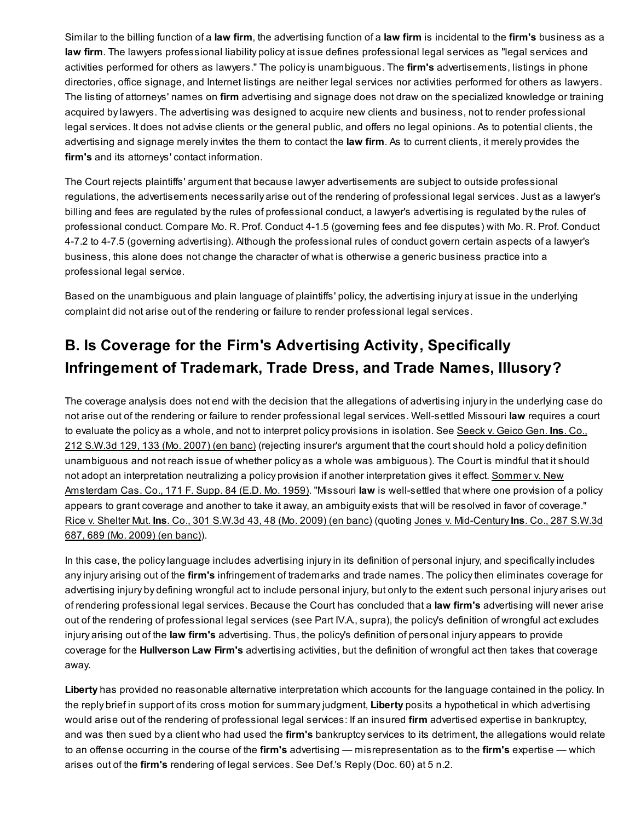Similar to the billing function of a law firm, the advertising function of a law firm is incidental to the firm's business as a law firm. The lawyers professional liability policy at issue defines professional legal services as "legal services and activities performed for others as lawyers." The policy is unambiguous. The firm's advertisements, listings in phone directories, office signage, and Internet listings are neither legal services nor activities performed for others as lawyers. The listing of attorneys' names on firm advertising and signage does not draw on the specialized knowledge or training acquired by lawyers. The advertising was designed to acquire new clients and business, not to render professional legal services. It does not advise clients or the general public, and offers no legal opinions. As to potential clients, the advertising and signage merely invites the them to contact the law firm. As to current clients, it merely provides the firm's and its attorneys' contact information.

The Court rejects plaintiffs' argument that because lawyer advertisements are subject to outside professional regulations, the advertisements necessarily arise out of the rendering of professional legal services. Just as a lawyer's billing and fees are regulated by the rules of professional conduct, a lawyer's advertising is regulated by the rules of professional conduct. Compare Mo. R. Prof. Conduct 4-1.5 (governing fees and fee disputes) with Mo. R. Prof. Conduct 4-7.2 to 4-7.5 (governing advertising). Although the professional rules of conduct govern certain aspects of a lawyer's business, this alone does not change the character of what is otherwise a generic business practice into a professional legal service.

Based on the unambiguous and plain language of plaintiffs' policy, the advertising injury at issue in the underlying complaint did not arise out of the rendering or failure to render professional legal services.

# B. Is Coverage for the Firm's Advertising Activity, Specifically Infringement of Trademark, Trade Dress, and Trade Names, Illusory?

The coverage analysis does not end with the decision that the allegations of advertising injury in the underlying case do not arise out of the rendering or failure to render professional legal services. Well-settled Missouri law requires a court to evaluate the policy as a whole, and not to interpret policy [provisions](http://scholar.google.com/scholar_case?case=7636123748890904039&q=Hullverson+Law+Firm,+P.C.+v.+Liberty+Ins.+Underwriters,+Inc.&hl=en&as_sdt=20006&as_vis=1) in isolation. See Seeck v. Geico Gen. Ins. Co., 212 S.W.3d 129, 133 (Mo. 2007) (en banc) (rejecting insurer's argument that the court should hold a policy definition unambiguous and not reach issue of whether policy as a whole was ambiguous). The Court is mindful that it should not adopt an interpretation neutralizing a policy provision if another [interpretation](http://scholar.google.com/scholar_case?case=17671218089187887991&q=Hullverson+Law+Firm,+P.C.+v.+Liberty+Ins.+Underwriters,+Inc.&hl=en&as_sdt=20006&as_vis=1) gives it effect. Sommer v. New Amsterdam Cas. Co., 171 F. Supp. 84 (E.D. Mo. 1959). "Missouri law is well-settled that where one provision of a policy appears to grant coverage and another to take it away, an ambiguity exists that will be resolved in favor of coverage." Rice v. [Shelter](http://scholar.google.com/scholar_case?case=6421945385818169971&q=Hullverson+Law+Firm,+P.C.+v.+Liberty+Ins.+Underwriters,+Inc.&hl=en&as_sdt=20006&as_vis=1) Mut. Ins. Co., 301 S.W.3d 43, 48 (Mo. 2009) (en banc) (quoting Jones v. [Mid-Century](http://scholar.google.com/scholar_case?case=12641309342399682685&q=Hullverson+Law+Firm,+P.C.+v.+Liberty+Ins.+Underwriters,+Inc.&hl=en&as_sdt=20006&as_vis=1) Ins. Co., 287 S.W.3d 687, 689 (Mo. 2009) (en banc)).

In this case, the policy language includes advertising injury in its definition of personal injury, and specifically includes any injury arising out of the firm's infringement of trademarks and trade names. The policy then eliminates coverage for advertising injury by defining wrongful act to include personal injury, but only to the extent such personal injury arises out of rendering professional legal services. Because the Court has concluded that a law firm's advertising will never arise out of the rendering of professional legal services (see Part IV.A., supra), the policy's definition of wrongful act excludes injury arising out of the law firm's advertising. Thus, the policy's definition of personal injury appears to provide coverage for the Hullverson Law Firm's advertising activities, but the definition of wrongful act then takes that coverage away.

Liberty has provided no reasonable alternative interpretation which accounts for the language contained in the policy. In the reply brief in support of its cross motion for summary judgment, Liberty posits a hypothetical in which advertising would arise out of the rendering of professional legal services: If an insured firm advertised expertise in bankruptcy, and was then sued by a client who had used the firm's bankruptcy services to its detriment, the allegations would relate to an offense occurring in the course of the firm's advertising — misrepresentation as to the firm's expertise — which arises out of the firm's rendering of legal services. See Def.'s Reply (Doc. 60) at 5 n.2.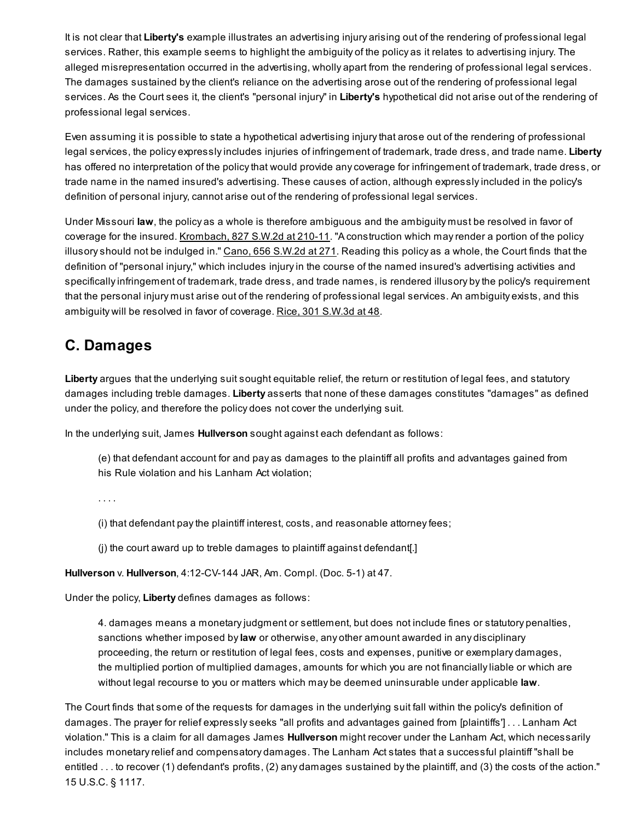It is not clear that Liberty's example illustrates an advertising injury arising out of the rendering of professional legal services. Rather, this example seems to highlight the ambiguity of the policy as it relates to advertising injury. The alleged misrepresentation occurred in the advertising, wholly apart from the rendering of professional legal services. The damages sustained by the client's reliance on the advertising arose out of the rendering of professional legal services. As the Court sees it, the client's "personal injury" in Liberty's hypothetical did not arise out of the rendering of professional legal services.

Even assuming it is possible to state a hypothetical advertising injury that arose out of the rendering of professional legal services, the policy expressly includes injuries of infringement of trademark, trade dress, and trade name. Liberty has offered no interpretation of the policy that would provide any coverage for infringement of trademark, trade dress, or trade name in the named insured's advertising. These causes of action, although expressly included in the policy's definition of personal injury, cannot arise out of the rendering of professional legal services.

Under Missouri law, the policy as a whole is therefore ambiguous and the ambiguity must be resolved in favor of coverage for the insured. [Krombach,](http://scholar.google.com/scholar_case?case=10337028966368765582&q=Hullverson+Law+Firm,+P.C.+v.+Liberty+Ins.+Underwriters,+Inc.&hl=en&as_sdt=20006&as_vis=1) 827 S.W.2d at 210-11. "A construction which may render a portion of the policy illusory should not be indulged in." Cano, 656 [S.W.2d](http://scholar.google.com/scholar_case?case=9885107958228747143&q=Hullverson+Law+Firm,+P.C.+v.+Liberty+Ins.+Underwriters,+Inc.&hl=en&as_sdt=20006&as_vis=1) at 271. Reading this policy as a whole, the Court finds that the definition of "personal injury," which includes injury in the course of the named insured's advertising activities and specifically infringement of trademark, trade dress, and trade names, is rendered illusory by the policy's requirement that the personal injury must arise out of the rendering of professional legal services. An ambiguity exists, and this ambiguity will be resolved in favor of coverage. Rice, 301 [S.W.3d](http://scholar.google.com/scholar_case?case=6421945385818169971&q=Hullverson+Law+Firm,+P.C.+v.+Liberty+Ins.+Underwriters,+Inc.&hl=en&as_sdt=20006&as_vis=1) at 48.

## C. Damages

Liberty argues that the underlying suit sought equitable relief, the return or restitution of legal fees, and statutory damages including treble damages. Liberty asserts that none of these damages constitutes "damages" as defined under the policy, and therefore the policy does not cover the underlying suit.

In the underlying suit, James Hullverson sought against each defendant as follows:

(e) that defendant account for and pay as damages to the plaintiff all profits and advantages gained from his Rule violation and his Lanham Act violation;

. . . .

(i) that defendant pay the plaintiff interest, costs, and reasonable attorney fees;

(j) the court award up to treble damages to plaintiff against defendant[.]

Hullverson v. Hullverson, 4:12-CV-144 JAR, Am. Compl. (Doc. 5-1) at 47.

Under the policy, Liberty defines damages as follows:

4. damages means a monetary judgment or settlement, but does not include fines or statutory penalties, sanctions whether imposed by law or otherwise, any other amount awarded in any disciplinary proceeding, the return or restitution of legal fees, costs and expenses, punitive or exemplary damages, the multiplied portion of multiplied damages, amounts for which you are not financially liable or which are without legal recourse to you or matters which may be deemed uninsurable under applicable law.

The Court finds that some of the requests for damages in the underlying suit fall within the policy's definition of damages. The prayer for relief expressly seeks "all profits and advantages gained from [plaintiffs'] . . . Lanham Act violation." This is a claim for all damages James Hullverson might recover under the Lanham Act, which necessarily includes monetary relief and compensatory damages. The Lanham Act states that a successful plaintiff "shall be entitled . . . to recover (1) defendant's profits, (2) any damages sustained by the plaintiff, and (3) the costs of the action." 15 U.S.C. § 1117.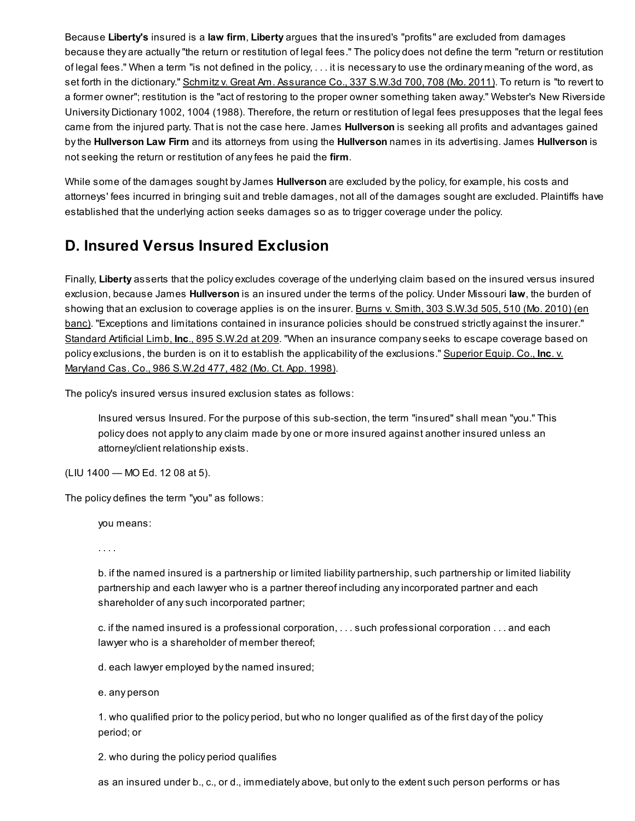Because Liberty's insured is a law firm, Liberty argues that the insured's "profits" are excluded from damages because they are actually "the return or restitution of legal fees." The policy does not define the term "return or restitution of legal fees." When a term "is not defined in the policy, . . . it is necessary to use the ordinary meaning of the word, as set forth in the dictionary." Schmitz v. Great Am. [Assurance](http://scholar.google.com/scholar_case?case=8430881564994333890&q=Hullverson+Law+Firm,+P.C.+v.+Liberty+Ins.+Underwriters,+Inc.&hl=en&as_sdt=20006&as_vis=1) Co., 337 S.W.3d 700, 708 (Mo. 2011). To return is "to revert to a former owner"; restitution is the "act of restoring to the proper owner something taken away." Webster's New Riverside University Dictionary 1002, 1004 (1988). Therefore, the return or restitution of legal fees presupposes that the legal fees came from the injured party. That is not the case here. James **Hullverson** is seeking all profits and advantages gained by the Hullverson Law Firm and its attorneys from using the Hullverson names in its advertising. James Hullverson is not seeking the return or restitution of any fees he paid the firm.

While some of the damages sought by James Hullverson are excluded by the policy, for example, his costs and attorneys' fees incurred in bringing suit and treble damages, not all of the damages sought are excluded. Plaintiffs have established that the underlying action seeks damages so as to trigger coverage under the policy.

# D. Insured Versus Insured Exclusion

Finally, Liberty asserts that the policy excludes coverage of the underlying claim based on the insured versus insured exclusion, because James **Hullverson** is an insured under the terms of the policy. Under Missouri law, the burden of showing that an exclusion to coverage applies is on the insurer. Burns v. Smith, 303 S.W.3d 505, 510 (Mo. 2010) (en banc). ["Exceptions](http://scholar.google.com/scholar_case?case=6985699370027113397&q=Hullverson+Law+Firm,+P.C.+v.+Liberty+Ins.+Underwriters,+Inc.&hl=en&as_sdt=20006&as_vis=1) and limitations contained in insurance policies should be construed strictly against the insurer." [Standard](http://scholar.google.com/scholar_case?case=1193919244422959527&q=Hullverson+Law+Firm,+P.C.+v.+Liberty+Ins.+Underwriters,+Inc.&hl=en&as_sdt=20006&as_vis=1) Artificial Limb, Inc., 895 S.W.2d at 209. "When an insurance company seeks to escape coverage based on policy exclusions, the burden is on it to establish the applicability of the [exclusions."](http://scholar.google.com/scholar_case?case=4590804175619168787&q=Hullverson+Law+Firm,+P.C.+v.+Liberty+Ins.+Underwriters,+Inc.&hl=en&as_sdt=20006&as_vis=1) Superior Equip. Co., Inc. v. Maryland Cas. Co., 986 S.W.2d 477, 482 (Mo. Ct. App. 1998).

The policy's insured versus insured exclusion states as follows:

Insured versus Insured. For the purpose of this sub-section, the term "insured" shall mean "you." This policy does not apply to any claim made by one or more insured against another insured unless an attorney/client relationship exists.

(LIU 1400 — MO Ed. 12 08 at 5).

The policy defines the term "you" as follows:

you means:

. . . .

b. if the named insured is a partnership or limited liability partnership, such partnership or limited liability partnership and each lawyer who is a partner thereof including any incorporated partner and each shareholder of any such incorporated partner;

c. if the named insured is a professional corporation, . . . such professional corporation . . . and each lawyer who is a shareholder of member thereof;

d. each lawyer employed by the named insured;

e. any person

1. who qualified prior to the policy period, but who no longer qualified as of the first day of the policy period; or

2. who during the policy period qualifies

as an insured under b., c., or d., immediately above, but only to the extent such person performs or has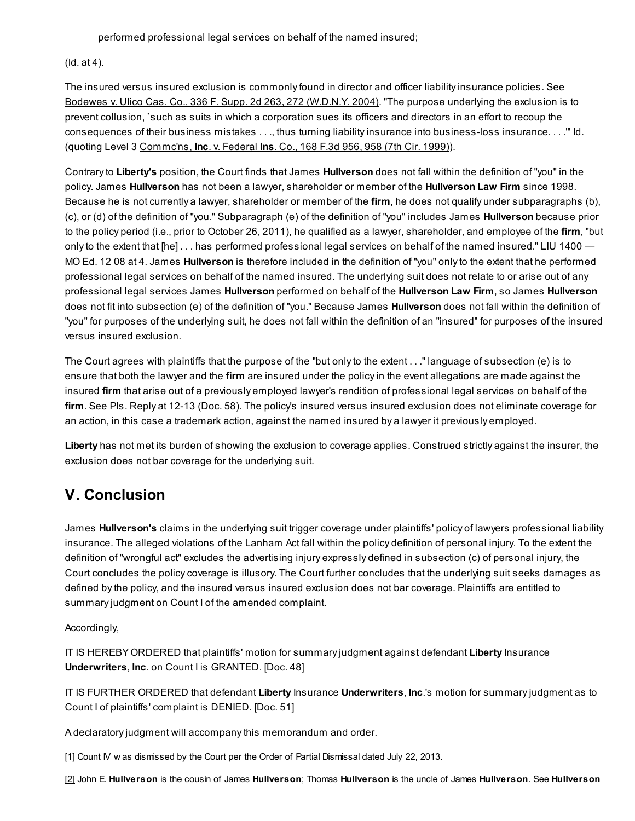performed professional legal services on behalf of the named insured;

#### (Id. at 4).

The insured versus insured exclusion is commonly found in director and officer liability insurance policies. See Bodewes v. Ulico Cas. Co., 336 F. Supp. 2d 263, 272 [\(W.D.N.Y.](http://scholar.google.com/scholar_case?case=3342552791018987917&q=Hullverson+Law+Firm,+P.C.+v.+Liberty+Ins.+Underwriters,+Inc.&hl=en&as_sdt=20006&as_vis=1) 2004). "The purpose underlying the exclusion is to prevent collusion, `such as suits in which a corporation sues its officers and directors in an effort to recoup the consequences of their business mistakes . . ., thus turning liability insurance into business-loss insurance. . . .'" Id. (quoting Level 3 [Commc'ns,](http://scholar.google.com/scholar_case?case=17589123734643847346&q=Hullverson+Law+Firm,+P.C.+v.+Liberty+Ins.+Underwriters,+Inc.&hl=en&as_sdt=20006&as_vis=1) Inc. v. Federal Ins. Co., 168 F.3d 956, 958 (7th Cir. 1999)).

Contrary to Liberty's position, the Court finds that James Hullverson does not fall within the definition of "you" in the policy. James Hullverson has not been a lawyer, shareholder or member of the Hullverson Law Firm since 1998. Because he is not currently a lawyer, shareholder or member of the firm, he does not qualify under subparagraphs (b), (c), or (d) of the definition of "you." Subparagraph (e) of the definition of "you" includes James Hullverson because prior to the policy period (i.e., prior to October 26, 2011), he qualified as a lawyer, shareholder, and employee of the firm, "but only to the extent that [he] . . . has performed professional legal services on behalf of the named insured." LIU 1400 — MO Ed. 12 08 at 4. James **Hullverson** is therefore included in the definition of "you" only to the extent that he performed professional legal services on behalf of the named insured. The underlying suit does not relate to or arise out of any professional legal services James Hullverson performed on behalf of the Hullverson Law Firm, so James Hullverson does not fit into subsection (e) of the definition of "you." Because James Hullverson does not fall within the definition of "you" for purposes of the underlying suit, he does not fall within the definition of an "insured" for purposes of the insured versus insured exclusion.

The Court agrees with plaintiffs that the purpose of the "but only to the extent . . ." language of subsection (e) is to ensure that both the lawyer and the firm are insured under the policy in the event allegations are made against the insured firm that arise out of a previously employed lawyer's rendition of professional legal services on behalf of the firm. See Pls. Reply at 12-13 (Doc. 58). The policy's insured versus insured exclusion does not eliminate coverage for an action, in this case a trademark action, against the named insured by a lawyer it previously employed.

Liberty has not met its burden of showing the exclusion to coverage applies. Construed strictly against the insurer, the exclusion does not bar coverage for the underlying suit.

# V. Conclusion

James Hullverson's claims in the underlying suit trigger coverage under plaintiffs' policy of lawyers professional liability insurance. The alleged violations of the Lanham Act fall within the policy definition of personal injury. To the extent the definition of "wrongful act" excludes the advertising injury expressly defined in subsection (c) of personal injury, the Court concludes the policy coverage is illusory. The Court further concludes that the underlying suit seeks damages as defined by the policy, and the insured versus insured exclusion does not bar coverage. Plaintiffs are entitled to summary judgment on Count I of the amended complaint.

### Accordingly,

IT IS HEREBY ORDERED that plaintiffs' motion for summary judgment against defendant Liberty Insurance Underwriters, Inc. on Count I is GRANTED. [Doc. 48]

IT IS FURTHER ORDERED that defendant Liberty Insurance Underwriters, Inc.'s motion for summary judgment as to Count I of plaintiffs' complaint is DENIED. [Doc. 51]

A declaratory judgment will accompany this memorandum and order.

<span id="page-9-0"></span>[\[1\]](#page-0-0) Count IV w as dismissed by the Court per the Order of Partial Dismissal dated July 22, 2013.

<span id="page-9-1"></span>[\[2\]](#page-0-1) John E. Hullverson is the cousin of James Hullverson; Thomas Hullverson is the uncle of James Hullverson. See Hullverson